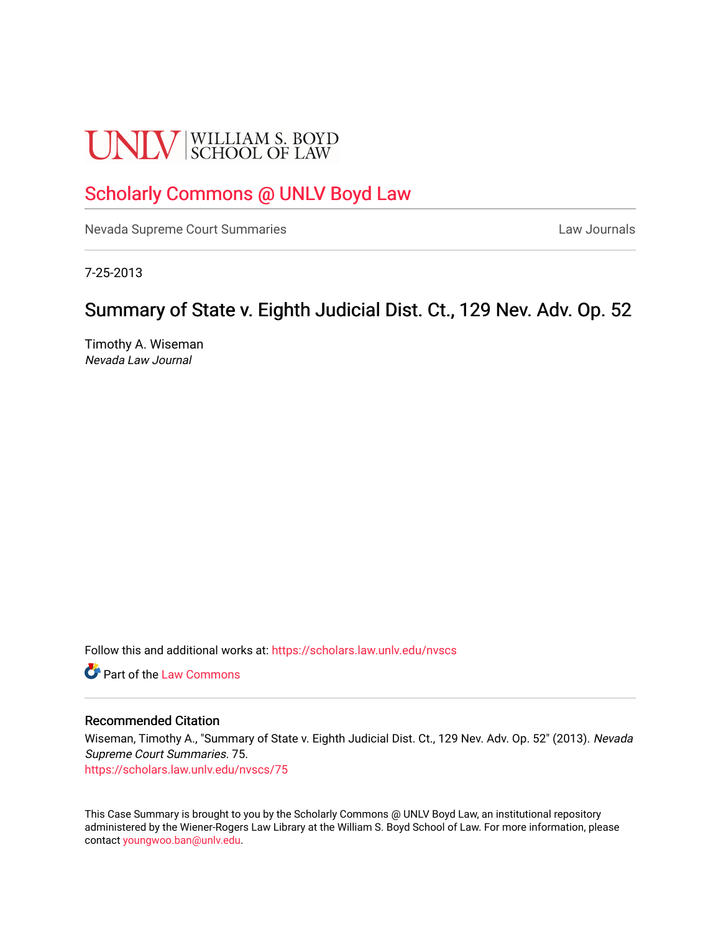# **UNLV** SCHOOL OF LAW

# [Scholarly Commons @ UNLV Boyd Law](https://scholars.law.unlv.edu/)

[Nevada Supreme Court Summaries](https://scholars.law.unlv.edu/nvscs) **Law Journals** Law Journals

7-25-2013

# Summary of State v. Eighth Judicial Dist. Ct., 129 Nev. Adv. Op. 52

Timothy A. Wiseman Nevada Law Journal

Follow this and additional works at: [https://scholars.law.unlv.edu/nvscs](https://scholars.law.unlv.edu/nvscs?utm_source=scholars.law.unlv.edu%2Fnvscs%2F75&utm_medium=PDF&utm_campaign=PDFCoverPages)

**C** Part of the [Law Commons](http://network.bepress.com/hgg/discipline/578?utm_source=scholars.law.unlv.edu%2Fnvscs%2F75&utm_medium=PDF&utm_campaign=PDFCoverPages)

#### Recommended Citation

Wiseman, Timothy A., "Summary of State v. Eighth Judicial Dist. Ct., 129 Nev. Adv. Op. 52" (2013). Nevada Supreme Court Summaries. 75.

[https://scholars.law.unlv.edu/nvscs/75](https://scholars.law.unlv.edu/nvscs/75?utm_source=scholars.law.unlv.edu%2Fnvscs%2F75&utm_medium=PDF&utm_campaign=PDFCoverPages) 

This Case Summary is brought to you by the Scholarly Commons @ UNLV Boyd Law, an institutional repository administered by the Wiener-Rogers Law Library at the William S. Boyd School of Law. For more information, please contact [youngwoo.ban@unlv.edu](mailto:youngwoo.ban@unlv.edu).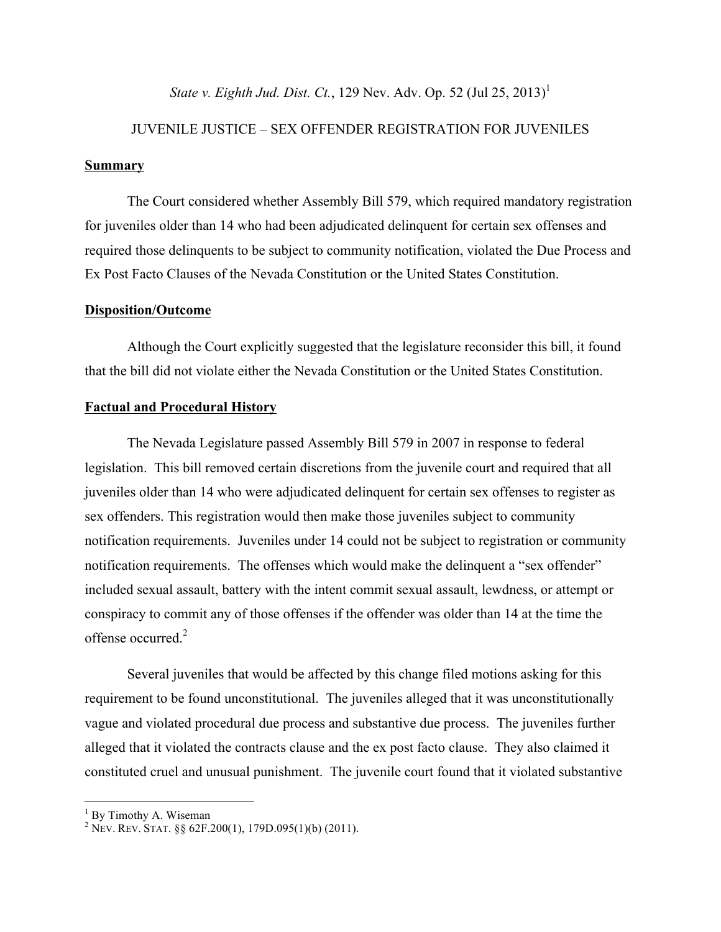*State v. Eighth Jud. Dist. Ct.*, 129 Nev. Adv. Op. 52 (Jul 25, 2013)<sup>1</sup>

# JUVENILE JUSTICE – SEX OFFENDER REGISTRATION FOR JUVENILES

#### **Summary**

The Court considered whether Assembly Bill 579, which required mandatory registration for juveniles older than 14 who had been adjudicated delinquent for certain sex offenses and required those delinquents to be subject to community notification, violated the Due Process and Ex Post Facto Clauses of the Nevada Constitution or the United States Constitution.

#### **Disposition/Outcome**

Although the Court explicitly suggested that the legislature reconsider this bill, it found that the bill did not violate either the Nevada Constitution or the United States Constitution.

#### **Factual and Procedural History**

The Nevada Legislature passed Assembly Bill 579 in 2007 in response to federal legislation. This bill removed certain discretions from the juvenile court and required that all juveniles older than 14 who were adjudicated delinquent for certain sex offenses to register as sex offenders. This registration would then make those juveniles subject to community notification requirements. Juveniles under 14 could not be subject to registration or community notification requirements. The offenses which would make the delinquent a "sex offender" included sexual assault, battery with the intent commit sexual assault, lewdness, or attempt or conspiracy to commit any of those offenses if the offender was older than 14 at the time the offense occurred<sup>2</sup>

Several juveniles that would be affected by this change filed motions asking for this requirement to be found unconstitutional. The juveniles alleged that it was unconstitutionally vague and violated procedural due process and substantive due process. The juveniles further alleged that it violated the contracts clause and the ex post facto clause. They also claimed it constituted cruel and unusual punishment. The juvenile court found that it violated substantive

 $1$  By Timothy A. Wiseman

<sup>&</sup>lt;sup>2</sup> NEV. REV. STAT. §§ 62F.200(1), 179D.095(1)(b) (2011).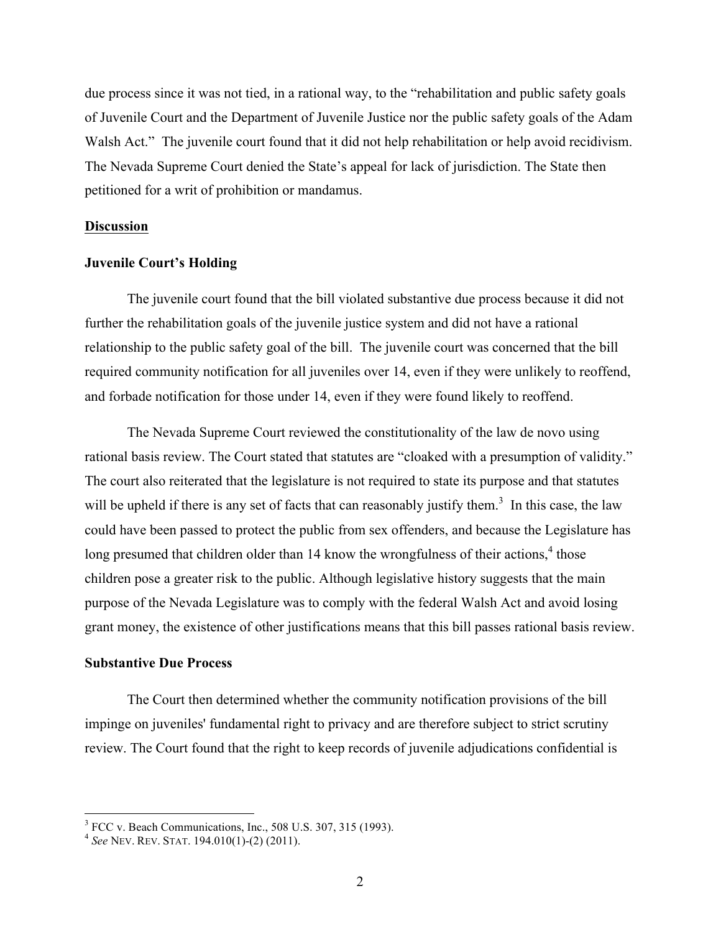due process since it was not tied, in a rational way, to the "rehabilitation and public safety goals of Juvenile Court and the Department of Juvenile Justice nor the public safety goals of the Adam Walsh Act." The juvenile court found that it did not help rehabilitation or help avoid recidivism. The Nevada Supreme Court denied the State's appeal for lack of jurisdiction. The State then petitioned for a writ of prohibition or mandamus.

#### **Discussion**

#### **Juvenile Court's Holding**

The juvenile court found that the bill violated substantive due process because it did not further the rehabilitation goals of the juvenile justice system and did not have a rational relationship to the public safety goal of the bill. The juvenile court was concerned that the bill required community notification for all juveniles over 14, even if they were unlikely to reoffend, and forbade notification for those under 14, even if they were found likely to reoffend.

The Nevada Supreme Court reviewed the constitutionality of the law de novo using rational basis review. The Court stated that statutes are "cloaked with a presumption of validity." The court also reiterated that the legislature is not required to state its purpose and that statutes will be upheld if there is any set of facts that can reasonably justify them.<sup>3</sup> In this case, the law could have been passed to protect the public from sex offenders, and because the Legislature has long presumed that children older than 14 know the wrongfulness of their actions,<sup>4</sup> those children pose a greater risk to the public. Although legislative history suggests that the main purpose of the Nevada Legislature was to comply with the federal Walsh Act and avoid losing grant money, the existence of other justifications means that this bill passes rational basis review.

#### **Substantive Due Process**

The Court then determined whether the community notification provisions of the bill impinge on juveniles' fundamental right to privacy and are therefore subject to strict scrutiny review. The Court found that the right to keep records of juvenile adjudications confidential is

<sup>&</sup>lt;sup>3</sup> FCC v. Beach Communications, Inc., 508 U.S. 307, 315 (1993).<br><sup>4</sup> *See* NEV. REV. STAT. 194.010(1)-(2) (2011).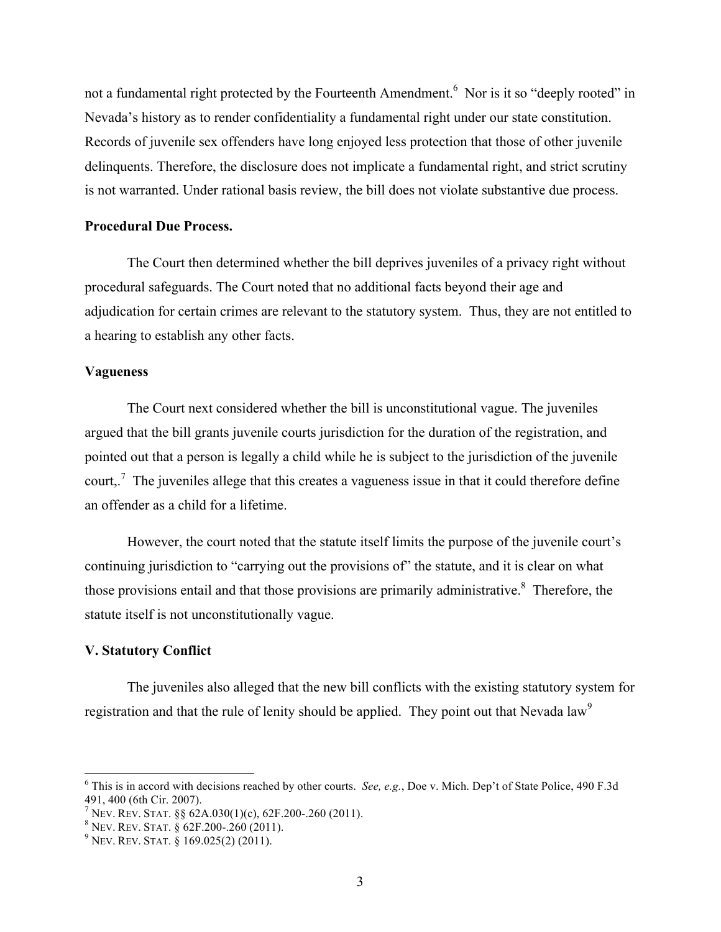not a fundamental right protected by the Fourteenth Amendment.<sup>6</sup> Nor is it so "deeply rooted" in Nevada's history as to render confidentiality a fundamental right under our state constitution. Records of juvenile sex offenders have long enjoyed less protection that those of other juvenile delinquents. Therefore, the disclosure does not implicate a fundamental right, and strict scrutiny is not warranted. Under rational basis review, the bill does not violate substantive due process.

## **Procedural Due Process.**

The Court then determined whether the bill deprives juveniles of a privacy right without procedural safeguards. The Court noted that no additional facts beyond their age and adjudication for certain crimes are relevant to the statutory system. Thus, they are not entitled to a hearing to establish any other facts.

#### **Vagueness**

The Court next considered whether the bill is unconstitutional vague. The juveniles argued that the bill grants juvenile courts jurisdiction for the duration of the registration, and pointed out that a person is legally a child while he is subject to the jurisdiction of the juvenile court,.<sup>7</sup> The juveniles allege that this creates a vagueness issue in that it could therefore define an offender as a child for a lifetime.

However, the court noted that the statute itself limits the purpose of the juvenile court's continuing jurisdiction to "carrying out the provisions of" the statute, and it is clear on what those provisions entail and that those provisions are primarily administrative.<sup>8</sup> Therefore, the statute itself is not unconstitutionally vague.

## **V. Statutory Conflict**

The juveniles also alleged that the new bill conflicts with the existing statutory system for registration and that the rule of lenity should be applied. They point out that Nevada law<sup>9</sup>

 <sup>6</sup> This is in accord with decisions reached by other courts. *See, e.g.*, Doe v. Mich. Dep't of State Police, 490 F.3d 491, 400 (6th Cir. 2007).<br><sup>7</sup> Nev. Rev. Stat. §§ 62A.030(1)(c), 62F.200-.260 (2011).<br><sup>8</sup> Nev. Rev. Stat. § 62F.200-.260 (2011).<br><sup>9</sup> Nev. Rev. Stat. § 169.025(2) (2011).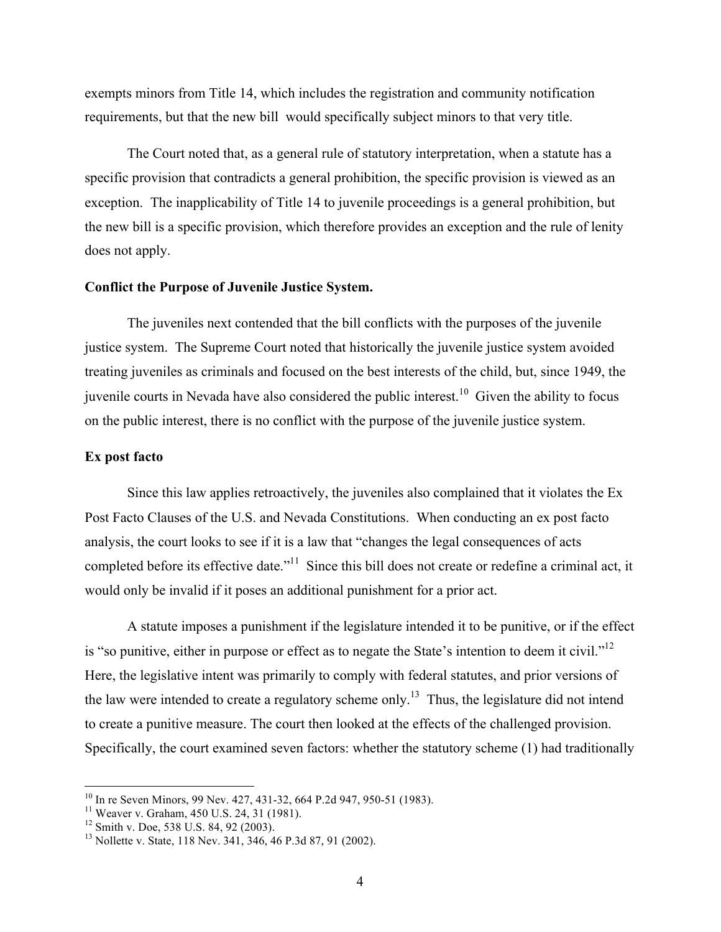exempts minors from Title 14, which includes the registration and community notification requirements, but that the new bill would specifically subject minors to that very title.

The Court noted that, as a general rule of statutory interpretation, when a statute has a specific provision that contradicts a general prohibition, the specific provision is viewed as an exception. The inapplicability of Title 14 to juvenile proceedings is a general prohibition, but the new bill is a specific provision, which therefore provides an exception and the rule of lenity does not apply.

#### **Conflict the Purpose of Juvenile Justice System.**

The juveniles next contended that the bill conflicts with the purposes of the juvenile justice system. The Supreme Court noted that historically the juvenile justice system avoided treating juveniles as criminals and focused on the best interests of the child, but, since 1949, the juvenile courts in Nevada have also considered the public interest.<sup>10</sup> Given the ability to focus on the public interest, there is no conflict with the purpose of the juvenile justice system.

#### **Ex post facto**

Since this law applies retroactively, the juveniles also complained that it violates the Ex Post Facto Clauses of the U.S. and Nevada Constitutions. When conducting an ex post facto analysis, the court looks to see if it is a law that "changes the legal consequences of acts completed before its effective date."<sup>11</sup> Since this bill does not create or redefine a criminal act, it would only be invalid if it poses an additional punishment for a prior act.

A statute imposes a punishment if the legislature intended it to be punitive, or if the effect is "so punitive, either in purpose or effect as to negate the State's intention to deem it civil."<sup>12</sup> Here, the legislative intent was primarily to comply with federal statutes, and prior versions of the law were intended to create a regulatory scheme only.<sup>13</sup> Thus, the legislature did not intend to create a punitive measure. The court then looked at the effects of the challenged provision. Specifically, the court examined seven factors: whether the statutory scheme (1) had traditionally

<sup>&</sup>lt;sup>10</sup> In re Seven Minors, 99 Nev. 427, 431-32, 664 P.2d 947, 950-51 (1983).<br><sup>11</sup> Weaver v. Graham, 450 U.S. 24, 31 (1981).<br><sup>12</sup> Smith v. Doe, 538 U.S. 84, 92 (2003).<br><sup>13</sup> Nollette v. State, 118 Nev. 341, 346, 46 P.3d 87, 9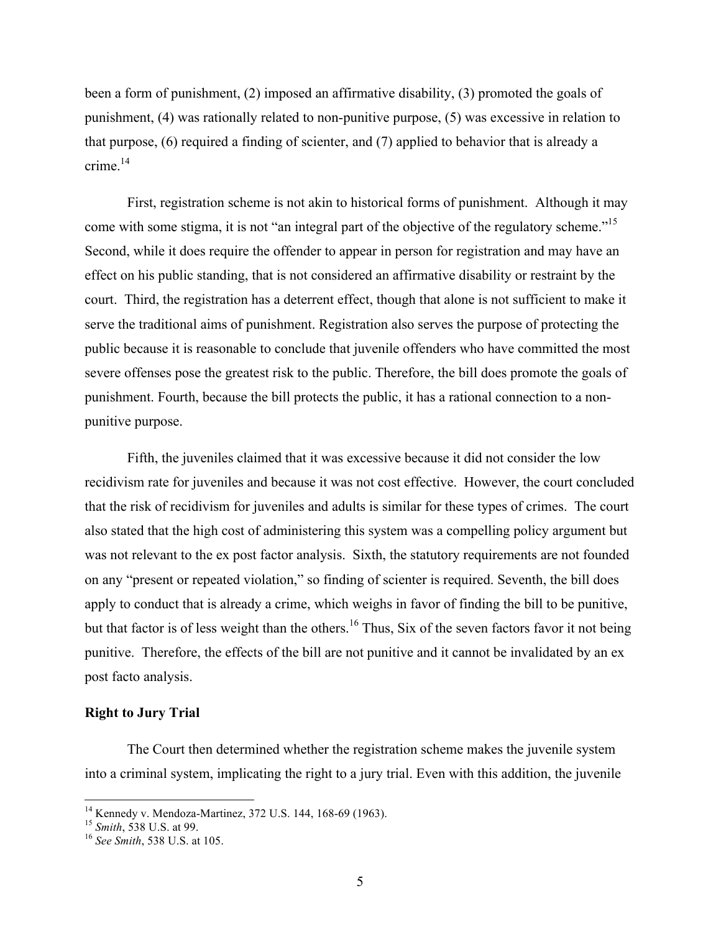been a form of punishment, (2) imposed an affirmative disability, (3) promoted the goals of punishment, (4) was rationally related to non-punitive purpose, (5) was excessive in relation to that purpose, (6) required a finding of scienter, and (7) applied to behavior that is already a crime $^{14}$ 

First, registration scheme is not akin to historical forms of punishment. Although it may come with some stigma, it is not "an integral part of the objective of the regulatory scheme."<sup>15</sup> Second, while it does require the offender to appear in person for registration and may have an effect on his public standing, that is not considered an affirmative disability or restraint by the court. Third, the registration has a deterrent effect, though that alone is not sufficient to make it serve the traditional aims of punishment. Registration also serves the purpose of protecting the public because it is reasonable to conclude that juvenile offenders who have committed the most severe offenses pose the greatest risk to the public. Therefore, the bill does promote the goals of punishment. Fourth, because the bill protects the public, it has a rational connection to a nonpunitive purpose.

Fifth, the juveniles claimed that it was excessive because it did not consider the low recidivism rate for juveniles and because it was not cost effective. However, the court concluded that the risk of recidivism for juveniles and adults is similar for these types of crimes. The court also stated that the high cost of administering this system was a compelling policy argument but was not relevant to the ex post factor analysis. Sixth, the statutory requirements are not founded on any "present or repeated violation," so finding of scienter is required. Seventh, the bill does apply to conduct that is already a crime, which weighs in favor of finding the bill to be punitive, but that factor is of less weight than the others.<sup>16</sup> Thus, Six of the seven factors favor it not being punitive. Therefore, the effects of the bill are not punitive and it cannot be invalidated by an ex post facto analysis.

## **Right to Jury Trial**

The Court then determined whether the registration scheme makes the juvenile system into a criminal system, implicating the right to a jury trial. Even with this addition, the juvenile

<sup>14</sup> Kennedy v. Mendoza-Martinez, 372 U.S. 144, 168-69 (1963). <sup>15</sup> *Smith*, 538 U.S. at 99. <sup>16</sup> *See Smith*, 538 U.S. at 105.